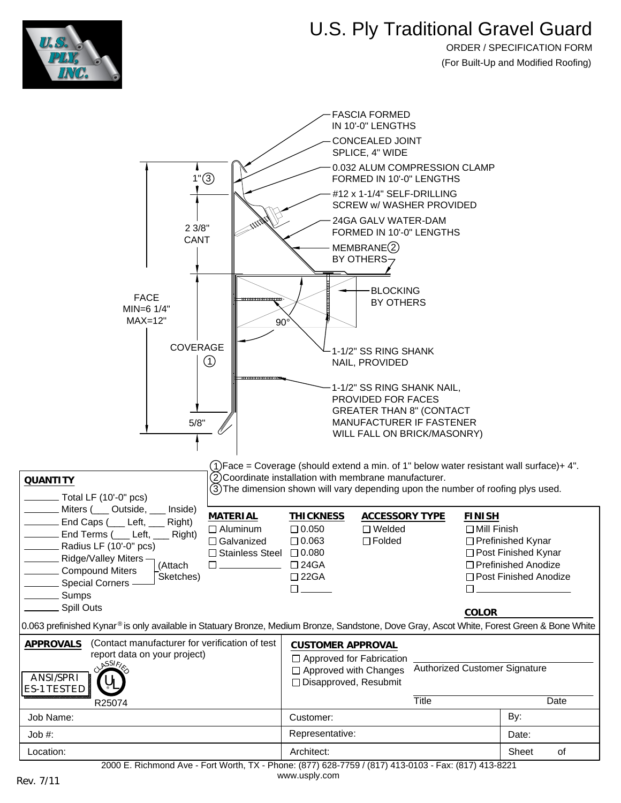

## U.S. Ply Traditional Gravel Guard

ORDER / SPECIFICATION FORM (For Built-Up and Modified Roofing)